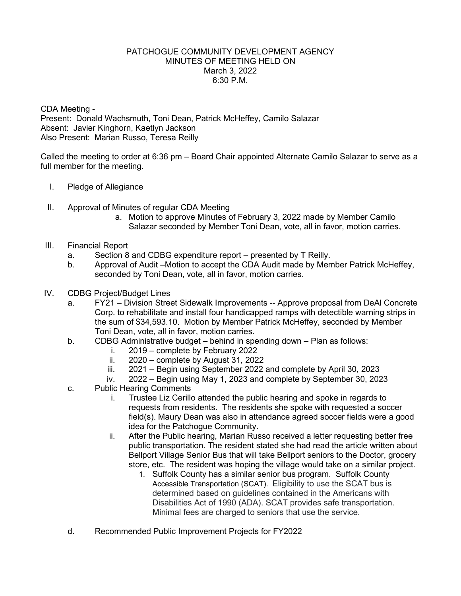## PATCHOGUE COMMUNITY DEVELOPMENT AGENCY MINUTES OF MEETING HELD ON March 3, 2022 6:30 P.M.

CDA Meeting - Present: Donald Wachsmuth, Toni Dean, Patrick McHeffey, Camilo Salazar Absent: Javier Kinghorn, Kaetlyn Jackson Also Present: Marian Russo, Teresa Reilly

Called the meeting to order at 6:36 pm – Board Chair appointed Alternate Camilo Salazar to serve as a full member for the meeting.

- I. Pledge of Allegiance
- II. Approval of Minutes of regular CDA Meeting
	- a. Motion to approve Minutes of February 3, 2022 made by Member Camilo Salazar seconded by Member Toni Dean, vote, all in favor, motion carries.
- III. Financial Report
	- a. Section 8 and CDBG expenditure report presented by T Reilly.
	- b. Approval of Audit –Motion to accept the CDA Audit made by Member Patrick McHeffey, seconded by Toni Dean, vote, all in favor, motion carries.
- IV. CDBG Project/Budget Lines
	- a. FY21 Division Street Sidewalk Improvements -- Approve proposal from DeAl Concrete Corp. to rehabilitate and install four handicapped ramps with detectible warning strips in the sum of \$34,593.10. Motion by Member Patrick McHeffey, seconded by Member Toni Dean, vote, all in favor, motion carries.
	- b. CDBG Administrative budget behind in spending down Plan as follows:
		- i.  $2019$  complete by February 2022<br>ii.  $2020$  complete by August 31, 202
		- $2020$  complete by August 31, 2022
		- iii. 2021 Begin using September 2022 and complete by April 30, 2023
		- iv. 2022 Begin using May 1, 2023 and complete by September 30, 2023
	- c. Public Hearing Comments
		- i. Trustee Liz Cerillo attended the public hearing and spoke in regards to requests from residents. The residents she spoke with requested a soccer field(s). Maury Dean was also in attendance agreed soccer fields were a good idea for the Patchogue Community.
		- ii. After the Public hearing, Marian Russo received a letter requesting better free public transportation. The resident stated she had read the article written about Bellport Village Senior Bus that will take Bellport seniors to the Doctor, grocery store, etc. The resident was hoping the village would take on a similar project.
			- 1. Suffolk County has a similar senior bus program. Suffolk County Accessible Transportation (SCAT). Eligibility to use the SCAT bus is determined based on guidelines contained in the Americans with Disabilities Act of 1990 (ADA). SCAT provides safe transportation. Minimal fees are charged to seniors that use the service.
	- d. Recommended Public Improvement Projects for FY2022